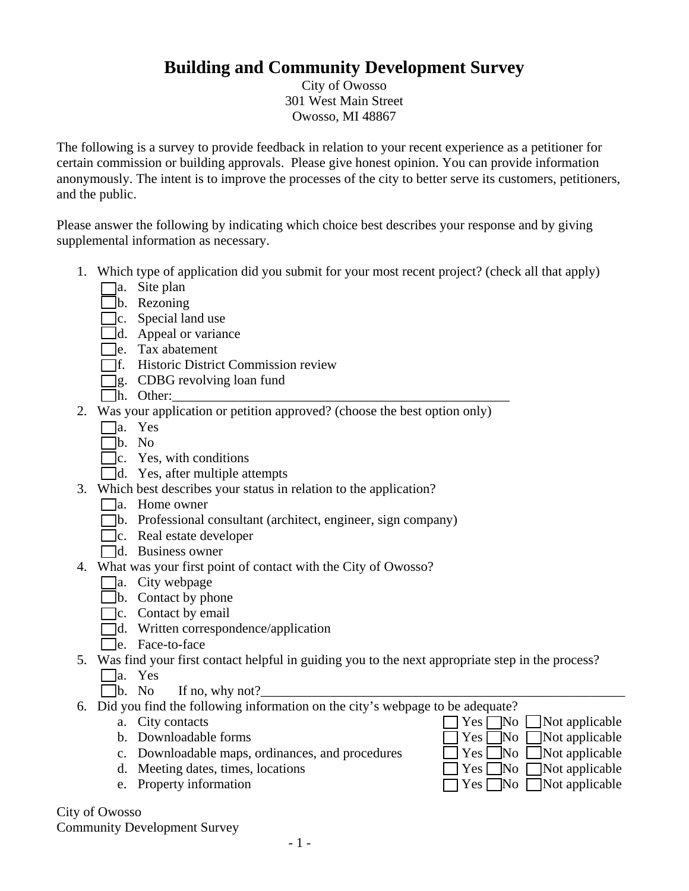## **Building and Community Development Survey**

City of Owosso 301 West Main Street Owosso, MI 48867

The following is a survey to provide feedback in relation to your recent experience as a petitioner for certain commission or building approvals. Please give honest opinion. You can provide information anonymously. The intent is to improve the processes of the city to better serve its customers, petitioners, and the public.

Please answer the following by indicating which choice best describes your response and by giving supplemental information as necessary.

- 1. Which type of application did you submit for your most recent project? (check all that apply)
	- $\Box$ a. Site plan
	- $\n **b.**\n Rezoning\n$
	- $\Box$ c. Special land use
	- $\Box$ d. Appeal or variance
	- $\Box$ e. Tax abatement
	- f. Historic District Commission review
	- $\Box$ g. CDBG revolving loan fund
	- $\Box$ h. Other:
- 2. Was your application or petition approved? (choose the best option only)
	- a. Yes
	- b. No
	- $\Box$ c. Yes, with conditions
	- $\Box$ d. Yes, after multiple attempts
- 3. Which best describes your status in relation to the application?
	- $\Box$ a. Home owner
	- b. Professional consultant (architect, engineer, sign company)
	- c. Real estate developer
	- d. Business owner
- 4. What was your first point of contact with the City of Owosso?
	- $\Box$ a. City webpage
	- $\Box$ b. Contact by phone
	- $\Box$ c. Contact by email
	- d. Written correspondence/application
	- □e. Face-to-face
- 5. Was find your first contact helpful in guiding you to the next appropriate step in the process?
	- $\Box$ a. Yes
	- b. No If no, why not?
- 6. Did you find the following information on the city's webpage to be adequate?
	-
	-
	- c. Downloadable maps, ordinances, and procedures  $\Box$  Yes  $\Box$  No  $\Box$  Not applicable
	- d. Meeting dates, times, locations  $\Box$  Yes  $\Box$  No  $\Box$  Not applicable
	- e. Property information  $\Box$  Yes  $\Box$  No  $\Box$  Not applicable

City of Owosso Community Development Survey

- a. City contacts  $\Box$  Yes  $\Box$  No  $\Box$  Not applicable b. Downloadable forms  $\Box$  Yes  $\Box$  No  $\Box$  Not applicable
	-